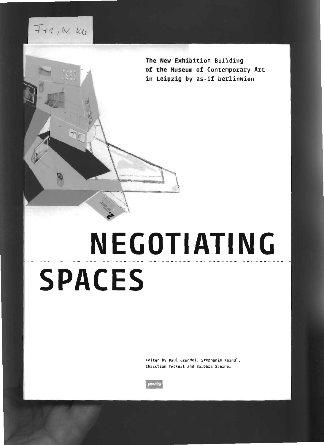**The New Exhibition Building of the Museum of (ontemporary Art in leipzig by as-if berlinwien**

## **NEGOTIATING SPACES**

Edited bV Paul Crundei, Stephanie Kaindl, Christian Teckert and Barbara Steiner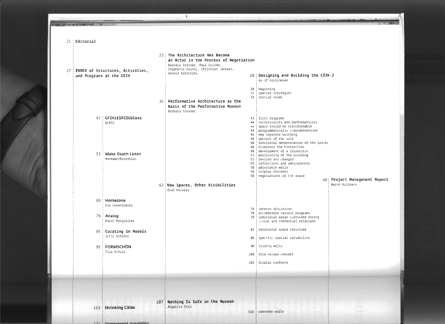## 23: The Architecture Has Become an Actor in the Process of Negotiation Barbara Steiner, Paul Grundei, Stephanie Kaindl, Christian Teckert. 27 : INDEX of Structures, Activities, Arnold Barretzky 28 | Designing and Building the GfZK-2 and Programs at the GfZK as-if berlinwien 28 beginning 31 spatial strategies 32 initial study 35 Performative Architecture as the Basis of the Performative Museum Rathara Steiner 47 : GFZKLEIPZIGbless 43 first diagrams 44 theatricality and performativity **BLESS** 44 ! space should be transformable 44 | programmatically underdetermined 46 ! new separate building 46 ! options of the site 48 ' functional determination of the spaces 48 eliminate the hierarchies 48 development of a dispositiv 53 Make Death Listen 53 positioning of the building Muntean/Rosenblum 53 revised and changed 55 reflections and ambivalences 58 diustable walls 58 display elements 58 negotiations of the space 60 Project Management Report 63 New Spaces, Other Visibilities Bernd Hullmann Olaf Nicolai 69 Homezone Via Lewandowsky 78 intense discussion 78 accommodate various programs  $79 \div$  Analog 78 : individual areas cultivate strong Dorit Margreiter visual and contextual relations 82 relational space structure 85 : Curating in Models Julia Schäfer 86 specific spatial variability 90 Sliding walls FORMSCHÖN  $95$ Tilo Schulz 100 fire escape concept 102 display surfaces